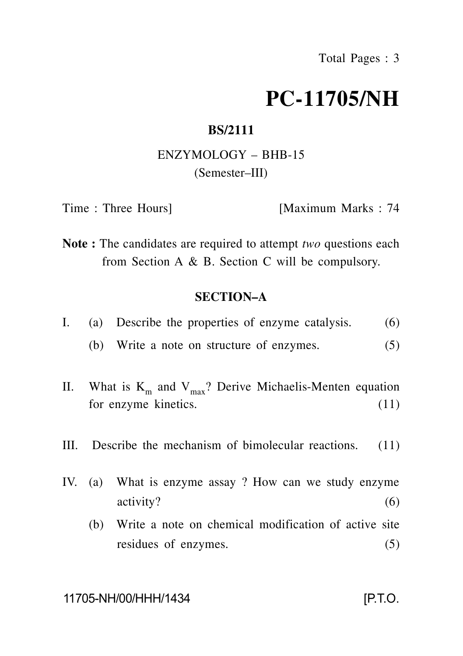# **PC-11705/NH**

## **BS/2111**

# ENZYMOLOGY – BHB-15 (Semester–III)

Time : Three Hours] [Maximum Marks : 74

**Note :** The candidates are required to attempt *two* questions each from Section A & B. Section C will be compulsory.

#### **SECTION–A**

|  |  |  |  | (a) Describe the properties of enzyme catalysis. |  |  |  | (6) |
|--|--|--|--|--------------------------------------------------|--|--|--|-----|
|--|--|--|--|--------------------------------------------------|--|--|--|-----|

- (b) Write a note on structure of enzymes. (5)
- II. What is  $K_m$  and  $V_{max}$ ? Derive Michaelis-Menten equation for enzyme kinetics. (11)
- III. Describe the mechanism of bimolecular reactions. (11)
- IV. (a) What is enzyme assay ? How can we study enzyme activity? (6)
	- (b) Write a note on chemical modification of active site residues of enzymes. (5)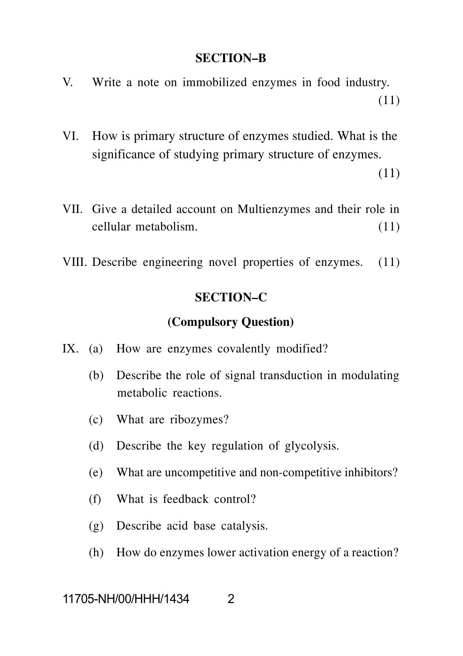#### **SECTION–B**

- V. Write a note on immobilized enzymes in food industry. (11)
- VI. How is primary structure of enzymes studied. What is the significance of studying primary structure of enzymes.

(11)

- VII. Give a detailed account on Multienzymes and their role in cellular metabolism. (11)
- VIII. Describe engineering novel properties of enzymes. (11)

## **SECTION–C**

#### **(Compulsory Question)**

- IX. (a) How are enzymes covalently modified?
	- (b) Describe the role of signal transduction in modulating metabolic reactions.
	- (c) What are ribozymes?
	- (d) Describe the key regulation of glycolysis.
	- (e) What are uncompetitive and non-competitive inhibitors?
	- (f) What is feedback control?
	- (g) Describe acid base catalysis.
	- (h) How do enzymes lower activation energy of a reaction?